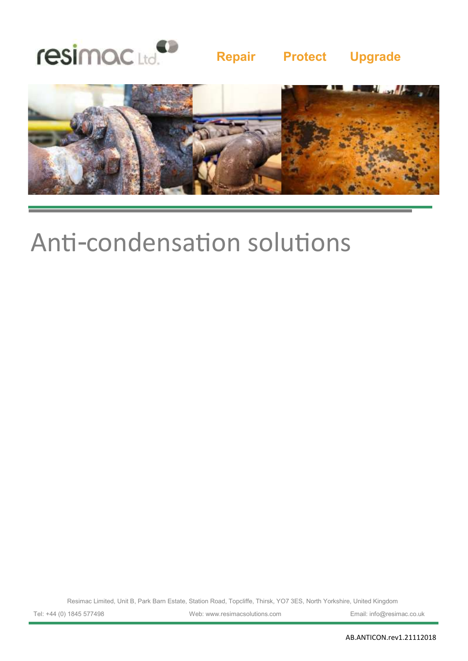

## **Repair Protect Upgrade**



## Anti-condensation solutions

Resimac Limited, Unit B, Park Barn Estate, Station Road, Topcliffe, Thirsk, YO7 3ES, North Yorkshire, United Kingdom

Tel: +44 (0) 1845 577498 Web: www.resimacsolutions.com Email: info@resimac.co.uk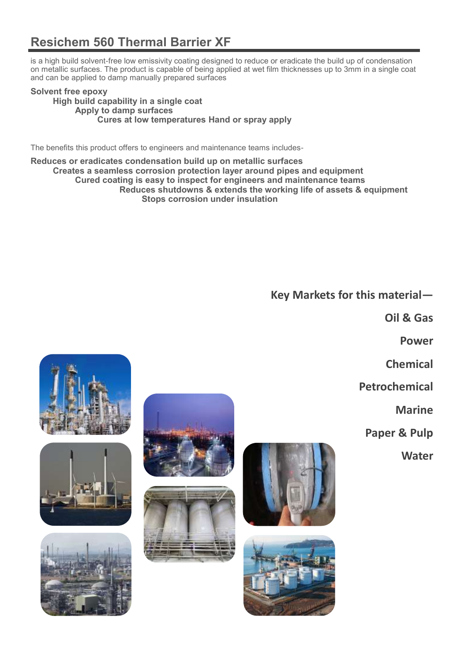## **Resichem 560 Thermal Barrier XF**

is a high build solvent-free low emissivity coating designed to reduce or eradicate the build up of condensation on metallic surfaces. The product is capable of being applied at wet film thicknesses up to 3mm in a single coat and can be applied to damp manually prepared surfaces

### **Solvent free epoxy High build capability in a single coat Apply to damp surfaces Cures at low temperatures Hand or spray apply**

The benefits this product offers to engineers and maintenance teams includes-

**Reduces or eradicates condensation build up on metallic surfaces Creates a seamless corrosion protection layer around pipes and equipment Cured coating is easy to inspect for engineers and maintenance teams Reduces shutdowns & extends the working life of assets & equipment Stops corrosion under insulation** 

**Key Markets for this material—**

**Oil & Gas**

**Power**

**Chemical**

**Petrochemical**

**Marine**

**Paper & Pulp**

**Water** 













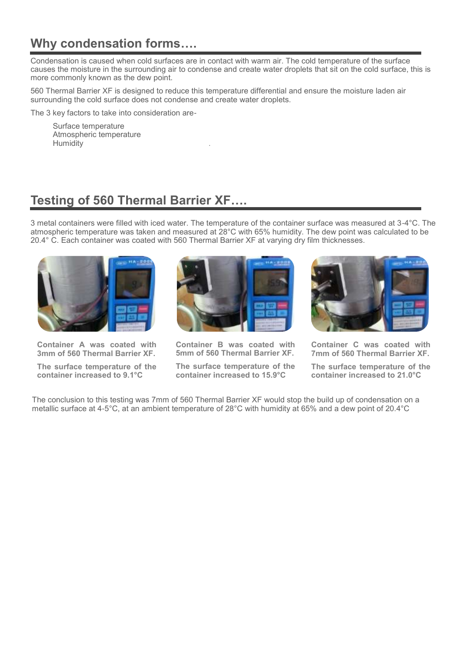## **Why condensation forms….**

Condensation is caused when cold surfaces are in contact with warm air. The cold temperature of the surface causes the moisture in the surrounding air to condense and create water droplets that sit on the cold surface, this is more commonly known as the dew point.

560 Thermal Barrier XF is designed to reduce this temperature differential and ensure the moisture laden air surrounding the cold surface does not condense and create water droplets.

The 3 key factors to take into consideration are-

Surface temperature Atmospheric temperature **Humidity** 

## **Testing of 560 Thermal Barrier XF….**

3 metal containers were filled with iced water. The temperature of the container surface was measured at 3-4°C. The atmospheric temperature was taken and measured at 28°C with 65% humidity. The dew point was calculated to be 20.4° C. Each container was coated with 560 Thermal Barrier XF at varying dry film thicknesses.



**Container A was coated with 3mm of 560 Thermal Barrier XF.**

**The surface temperature of the container increased to 9.1°C**



**Container B was coated with 5mm of 560 Thermal Barrier XF.**

**The surface temperature of the container increased to 15.9°C**



**Container C was coated with 7mm of 560 Thermal Barrier XF.**

**The surface temperature of the container increased to 21.0°C**

The conclusion to this testing was 7mm of 560 Thermal Barrier XF would stop the build up of condensation on a metallic surface at 4-5°C, at an ambient temperature of 28°C with humidity at 65% and a dew point of 20.4°C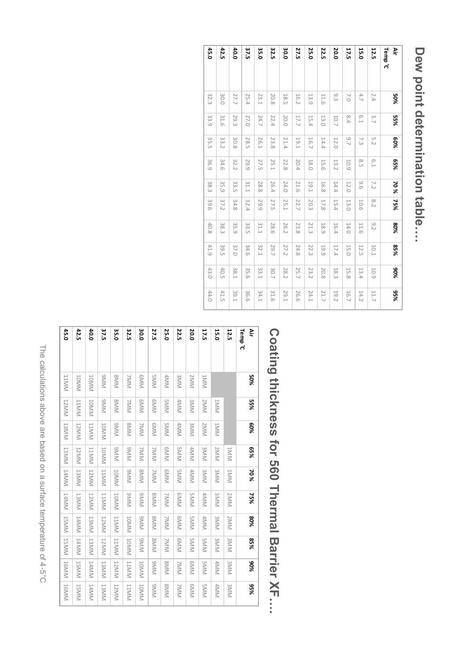## Dew point determination table... **Dew point determination table….**

| Š                 | 50%    | 55%  | 80%    | %59  | 70%         | 75%  | 80%  | %58        | %06        | %56         |
|-------------------|--------|------|--------|------|-------------|------|------|------------|------------|-------------|
| Temp <sup>c</sup> |        |      |        |      |             |      |      |            |            |             |
| 12.5              | 2.4    | 3.7  | 5.2    | E.1  | 7.2         | 8.2  | 9.2  | 10.1       | <b>60T</b> | 11.7        |
| 15.0              | 4.7    | 6.1  | 7.3    | 8.5  | 9.6         | 10.6 | 11.6 | 12.5       | 13.4       | 14.2        |
| 17.5              | $\sim$ | 8.4  | $-1.6$ | 10.9 | 12.0        | 13.0 | 14.0 | 15.0       | 15.8       | 16.7        |
| 20.0              | 9.3    | 10.7 | 12.0   | 13.2 | 14.4        | 15.4 | 16.4 | 17.4       | 18.3       | <b>19.2</b> |
| 22.5              | 11.6   | 13.0 | 14.4   | 15.6 | 16.8        | 17.8 | 18.9 | <b>661</b> | 20.8       | 21.7        |
| 25.0              | 13.9   | 15.4 | 16.7   | 18.0 | <b>19.1</b> | 20.3 | 21.3 | 22.3       | 23.2       | 24.1        |
| 27.5              | 16.2   | 17.7 | 19.1   | 20.4 | 21.6        | 22.7 | 23.8 | 24.8       | 25.7       | 26.6        |
| 30.0              | 18.5   | 20.0 | 21.4   | 22.8 | 24.0        | 25.1 | 26.2 | 27.2       | 28.2       | <b>29.1</b> |
| 32.5              | 20.8   | 22.4 | 23.8   | 25.1 | 26.4        | 27.5 | 28.6 | 29.7       | 30.7       | 31.6        |
| 35.0              | 23.1   | 24.7 | 26.1   | 27.5 | 28.8        | 29.9 | 31.1 | 32.1       | 33.1       | 34.1        |
| 37.5              | 25.4   | 27.0 | 28.5   | 29.9 | 31.1        | 32.4 | 33.5 | 34.6       | 35.6       | 36.6        |
| 40.0              | 27.7   | 29.3 | 30.8   | 32.2 | 33.5        | 34.8 | 35.9 | 37.0       | 138.1      | 39.1        |
| 42.5              | 30.0   | 31.6 | 33.2   | 34.6 | 35.9        | 37.2 | 38.3 | 39.5       | 40.5       | 41.5        |
| 45.0              | 32.3   | 33.9 | 35.5   | 36.9 | 38.3        | 39.6 | 40.8 | 41.9       | 43.0       | 44.0        |

# Coating thickness for 560 Thermal Barrier XF.... **Coating thickness for 560 Thermal Barrier XF….**

| Š                 | 50%             | 55%          | 80%          | %59          | 70%          | 75%          | 80%          | %58          | %06          | %56          |
|-------------------|-----------------|--------------|--------------|--------------|--------------|--------------|--------------|--------------|--------------|--------------|
| Temp <sup>c</sup> |                 |              |              |              |              |              |              |              |              |              |
| <b>12.5</b>       |                 |              |              | INNT         | JMML         | 2MM          | 2MM          | <b>SIVIN</b> | <b>SIVIN</b> | 3MM          |
| 15.0              |                 | INNT         | JNNL         | 2MM          | <b>SIVIN</b> | <b>SIVIN</b> | <b>SIVIN</b> | 3MMK         | 4MM          | 4MM          |
| 17.5              | INNI            | 2MM          | 2MMV         | 3MM          | 3MM          | 4MM          | 4MM          | <b>SMM</b>   | <b>SMM</b>   | <b>SMM</b>   |
| 20.0              | 2MM             | <b>SIVIN</b> | 3MMM         | 4MM          | 4MM          | <b>SMM</b>   | <b>SMM</b>   | <b>SMM</b>   | <b>GIVIN</b> | <b>GMM</b>   |
| 22.5              | <b>SMM</b>      | 4MM          | 4MM          | <b>SMM</b>   | <b>SMM</b>   | <b>GMM</b>   | <b>GMM</b>   | <b>GMM</b>   | <b>ZNNV</b>  | <b>ZMM</b>   |
| 25.0              | 4MM             | <b>SMM</b>   | <b>SMM</b>   | <b>GMM</b>   | <b>GMM</b>   | <b>ZMM</b>   | <b>ZMM</b>   | <b>ZMM</b>   | <b>SMM</b>   | <b>SMM</b>   |
| 27.5              | <b>SMM</b>      | <b>GMM</b>   | <b>GMM</b>   | <b>ZMM</b>   | <b>ZMM</b>   | <b>SMM</b>   | <b>SMM</b>   | <b>SIVIN</b> | <b>MMIG</b>  | <b>MMIG</b>  |
| 30.0              | <b>GMM</b>      | <b>GMM</b>   | <b>ZMM</b>   | <b>ZMM</b>   | <b>SMM</b>   | <b>NNING</b> | <b>NNING</b> | <b>NINIG</b> | NNOT         | <b>JONNN</b> |
| 32.5              | <b>ZNNN</b>     | <b>ZMM</b>   | <b>SIVIN</b> | <b>NINIG</b> | <b>NNIS</b>  | <b>NNING</b> | NNOT         | NNOT         | NNTT         | NINTT        |
| 35.0              | <b>SIVIN</b>    | <b>SIVIN</b> | <b>MMING</b> | <b>NN6</b>   | <b>JOMNN</b> | <b>JONNN</b> | <b>J1MM</b>  | <b>NNTT</b>  | <b>NNNT</b>  | <b>12MM</b>  |
| 37.5              | MM <sub>6</sub> | <b>NING</b>  | JOMN         | <b>IOMN</b>  | NNIT         | NNTT         | <b>IZMM</b>  | <b>J2MM</b>  | <b>I3MM</b>  | <b>I3MM</b>  |
| 40.0              | <b>IOMN</b>     | NNOT         | <b>J1MM</b>  | NNTT         | <b>J2MM</b>  | <b>J2MN</b>  | MMSL         | <b>NNST</b>  | J4MM         | 14MM         |
| 42.5              | NNOT            | <b>J1MMN</b> | <b>12MM</b>  | <b>J2MM</b>  | NNET         | <b>NNST</b>  | J4MM         | J4MM         | <b>JSMM</b>  | <b>J5MM</b>  |
| 45.0              | <b>JIMMI</b>    | <b>12MM</b>  | <b>I3MM</b>  | <b>J3MM</b>  | 14MM         | 14MM         | <b>JSMM</b>  | <b>JSMM</b>  | <b>16MM</b>  | <b>16MM</b>  |

The calculations above are based on a surface temperature of 4-5°C The calculations above are based on a surface temperature of 4-5°C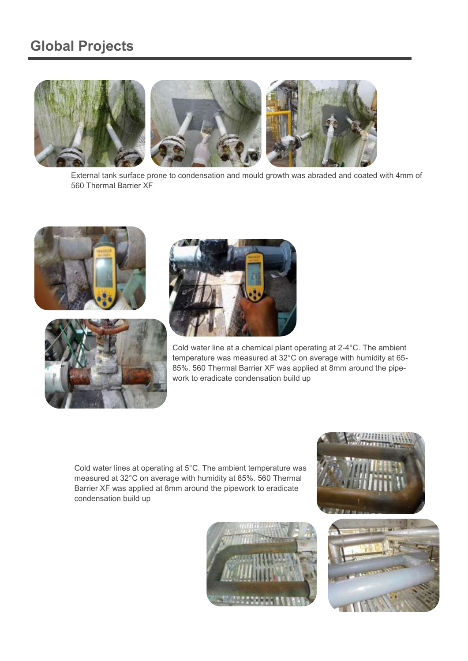## **Global Projects**



External tank surface prone to condensation and mould growth was abraded and coated with 4mm of 560 Thermal Barrier XF







Cold water line at a chemical plant operating at 2-4°C. The ambient temperature was measured at 32°C on average with humidity at 65- 85%. 560 Thermal Barrier XF was applied at 8mm around the pipework to eradicate condensation build up

Cold water lines at operating at 5°C. The ambient temperature was measured at 32°C on average with humidity at 85%. 560 Thermal Barrier XF was applied at 8mm around the pipework to eradicate condensation build up





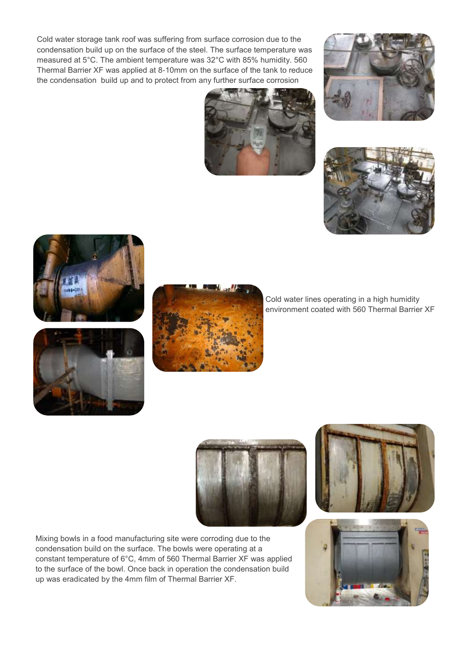Cold water storage tank roof was suffering from surface corrosion due to the condensation build up on the surface of the steel. The surface temperature was measured at 5°C. The ambient temperature was 32°C with 85% humidity. 560 Thermal Barrier XF was applied at 8-10mm on the surface of the tank to reduce the condensation build up and to protect from any further surface corrosion











Cold water lines operating in a high humidity environment coated with 560 Thermal Barrier XF



Mixing bowls in a food manufacturing site were corroding due to the condensation build on the surface. The bowls were operating at a constant temperature of 6°C, 4mm of 560 Thermal Barrier XF was applied to the surface of the bowl. Once back in operation the condensation build up was eradicated by the 4mm film of Thermal Barrier XF.



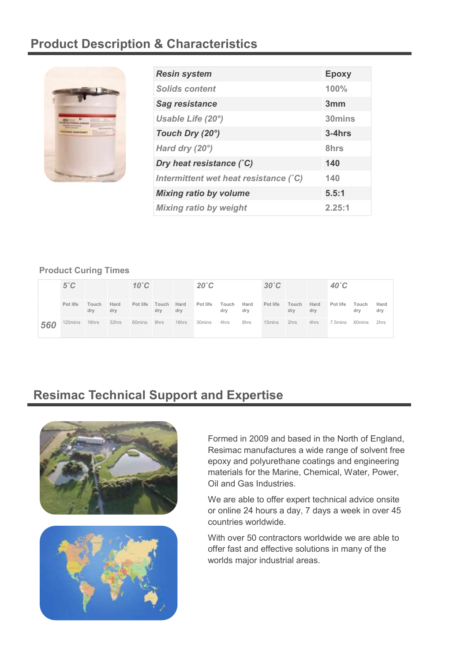## **Product Description & Characteristics**



| <b>Resin system</b>                   | <b>Epoxy</b> |
|---------------------------------------|--------------|
| <b>Solids content</b>                 | 100%         |
| <b>Sag resistance</b>                 | 3mm          |
| Usable Life (20°)                     | 30mins       |
| Touch Dry (20°)                       | $3 - 4$ hrs  |
| Hard dry $(20^\circ)$                 | 8hrs         |
| Dry heat resistance (°C)              | 140          |
| Intermittent wet heat resistance (°C) | 140          |
| <b>Mixing ratio by volume</b>         | 5.5:1        |
| <b>Mixing ratio by weight</b>         | 2.25:1       |

## **Product Curing Times**

|     | $5^{\circ}$ C |              |             | $10^{\circ}$ C |              |             | $20^{\circ}$ C |              |             | $30^{\circ}$ C |              |             | $40^\circ C$ |              |             |
|-----|---------------|--------------|-------------|----------------|--------------|-------------|----------------|--------------|-------------|----------------|--------------|-------------|--------------|--------------|-------------|
|     | Pot life      | Touch<br>dry | Hard<br>dry | Pot life       | Touch<br>dry | Hard<br>dry | Pot life       | Touch<br>dry | Hard<br>dry | Pot life       | Touch<br>dry | Hard<br>dry | Pot life     | Touch<br>drv | Hard<br>dry |
| 560 | 120mins       | 16hrs        | 32hrs       | 60mins         | 8hrs         | 16hrs       | 30mins         | 4hrs         | 8hrs        | 15mins         | 2hrs         | 4hrs        | 7.5mins      | 60mins       | 2hrs        |

## **Resimac Technical Support and Expertise**





Formed in 2009 and based in the North of England, Resimac manufactures a wide range of solvent free epoxy and polyurethane coatings and engineering materials for the Marine, Chemical, Water, Power, Oil and Gas Industries.

We are able to offer expert technical advice onsite or online 24 hours a day, 7 days a week in over 45 countries worldwide.

With over 50 contractors worldwide we are able to offer fast and effective solutions in many of the worlds major industrial areas.